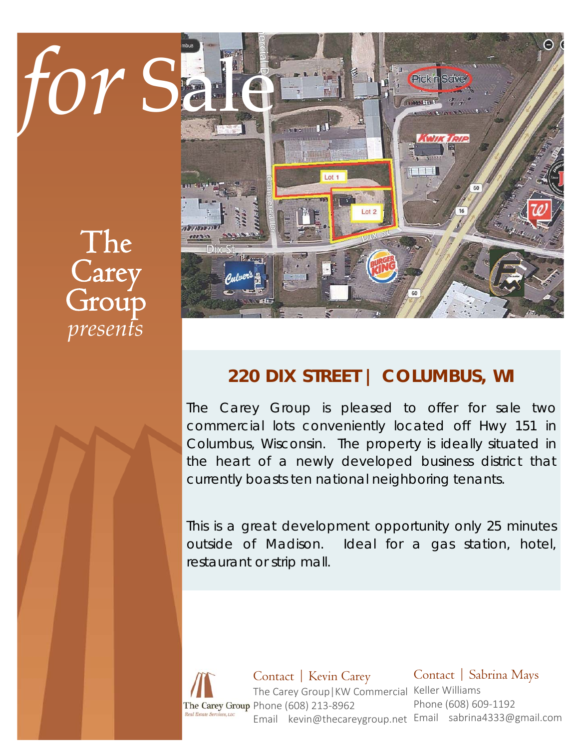# The **Carey** Group *presents*



# **220 DIX STREET | COLUMBUS, WI**

The Carey Group is pleased to offer for sale two commercial lots conveniently located off Hwy 151 in Columbus, Wisconsin. The property is ideally situated in the heart of a newly developed business district that currently boasts ten national neighboring tenants.

This is a great development opportunity only 25 minutes outside of Madison. Ideal for a gas station, hotel, restaurant or strip mall.

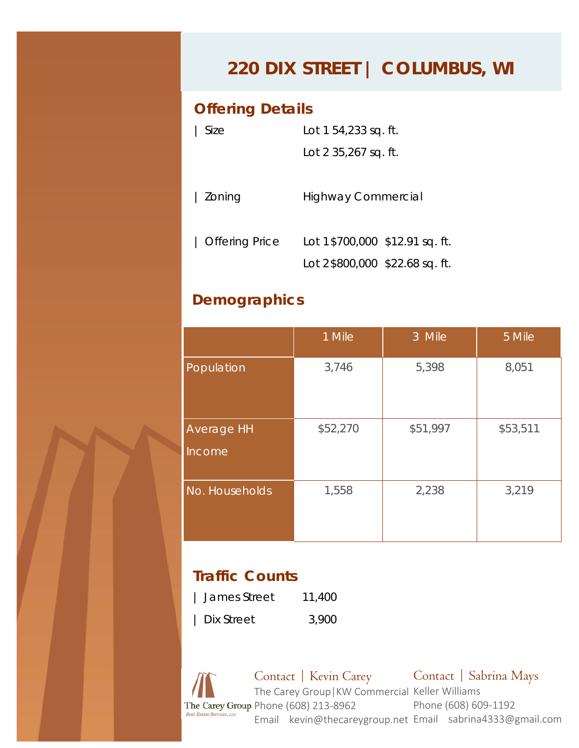## **220 DIX STREET | COLUMBUS, WI**

#### **Offering Details**

| Size           | Lot 1 54,233 sq. ft.           |  |  |
|----------------|--------------------------------|--|--|
|                | Lot 2 35,267 sq. ft.           |  |  |
|                |                                |  |  |
| Zoning         | <b>Highway Commercial</b>      |  |  |
|                |                                |  |  |
| Offering Price | Lot 1\$700,000 \$12.91 sq. ft. |  |  |
|                | Lot 2\$800,000 \$22.68 sq. ft. |  |  |

#### **Demographics**

|                      | 1 Mile   | 3 Mile   | 5 Mile   |
|----------------------|----------|----------|----------|
| Population           | 3,746    | 5,398    | 8,051    |
| Average HH<br>Income | \$52,270 | \$51,997 | \$53,511 |
| No. Households       | 1,558    | 2,238    | 3,219    |

#### **Traffic Counts**

| James Street | 11,400 |
|--------------|--------|
| Dix Street   | 3,900  |

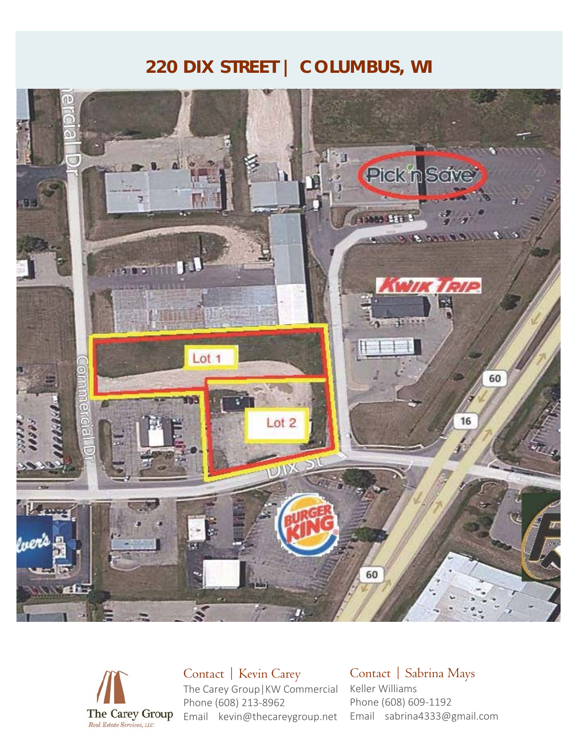### **220 DIX STREET | COLUMBUS, WI**





Contact | Kevin Carey The Carey Group|KW Commercial Keller Williams Phone (608) 213‐8962 Email kevin@thecareygroup.net

Contact | Sabrina Mays Phone (608) 609‐1192 Email sabrina4333@gmail.com